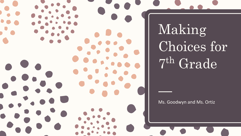Making Choices for 7 th Grade

Ms. Goodwyn and Ms. Ortiz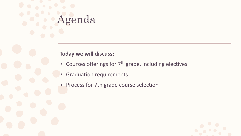# genda

#### **Today we will discuss:**

- Courses offerings for  $7<sup>th</sup>$  grade, including electives
- Graduation requirements
- Process for 7th grade course selection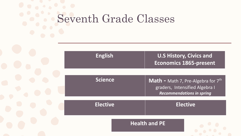## Seventh Grade Classes

| <b>English</b>  | <b>U.S History, Civics and</b><br><b>Economics 1865-present</b>                                                   |
|-----------------|-------------------------------------------------------------------------------------------------------------------|
| <b>Science</b>  | <b>Math -</b> Math 7, Pre-Algebra for $7th$<br>graders, Intensified Algebra I<br><b>Recommendations in spring</b> |
| <b>Elective</b> | <b>Elective</b>                                                                                                   |
|                 | <b>Health and PE</b>                                                                                              |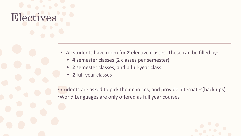### Electives

- All students have room for **2** elective classes. These can be filled by:
	- **• 4** semester classes (2 classes per semester)
	- **• 2** semester classes, and **1** full-year class
	- **• 2** full-year classes

•Students are asked to pick their choices, and provide alternates(back ups) •World Languages are only offered as full year courses

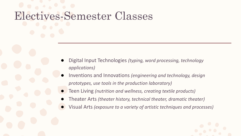### Electives-Semester Classes

- Digital Input Technologies *(typing, word processing, technology applications)*
- Inventions and Innovations *(engineering and technology, design prototypes, use tools in the production laboratory)*
- Teen Living *(nutrition and wellness, creating textile products)*
- Theater Arts *(theater history, technical theater, dramatic theater)*
- Visual Arts *(exposure to a variety of artistic techniques and processes)*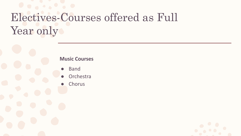### Electives-Courses offered as Full Year only

#### **Music Courses**

- **Band**
- Orchestra
- Chorus

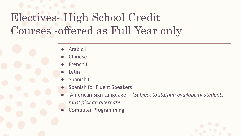### Electives- High School Credit Courses -offered as Full Year only

- Arabic I
- **Chinese I**
- French I
- Latin I
- Spanish I
- **Spanish for Fluent Speakers I**
- American Sign Language I *\*Subject to staffing availability-students must pick an alternate*
- **Computer Programming**

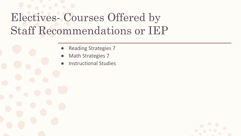### Electives- Courses Offered by Staff Recommendations or IEP

- **Reading Strategies 7**
- **Math Strategies 7**
- **Instructional Studies**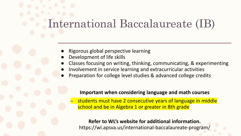# International Baccalaureate (IB)

- Rigorous global perspective learning
- Development of life skills
- Classes focusing on writing, thinking, communicating, & experimenting
- Involvement in service learning and extracurricular activities
- Preparation for college level studies & advanced college credits

#### **Important when considering language and math courses**

students must have 2 consecutive years of language in middle school and be in Algebra 1 or greater in 8th grade

#### **Refer to WL's website for additional information.** https://wl.apsva.us/international-baccalaureate-program/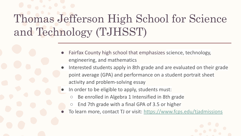### Thomas Jefferson High School for Science and Technology (TJHSST)

- Fairfax County high school that emphasizes science, technology, engineering, and mathematics
- Interested students apply in 8th grade and are evaluated on their grade point average (GPA) and performance on a student portrait sheet activity and problem-solving essay
- In order to be eligible to apply, students must:
	- Be enrolled in Algebra 1 Intensified in 8th grade
	- End 7th grade with a final GPA of 3.5 or higher
- To learn more, contact TJ or visit: <https://www.fcps.edu/tjadmissions>

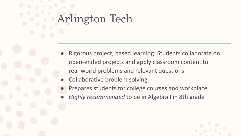## Arlington Tech

- Rigorous project, based learning: Students collaborate on open-ended projects and apply classroom content to real-world problems and relevant questions.
- Collaborative problem solving
- Prepares students for college courses and workplace
- *Highly recommended* to be in Algebra I in 8th grade

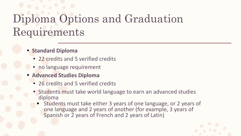### Diploma Options and Graduation Requirements

#### **• Standard Diploma**

- 22 credits and 5 verified credits
- no language requirement
- **• Advanced Studies Diploma**
	- 26 credits and 5 verified credits
	- Students must take world language to earn an advanced studies diploma
		- Students must take either 3 years of one language, or 2 years of one language and 2 years of another (for example, 3 years of Spanish or 2 years of French and 2 years of Latin)

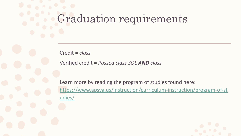### Graduation requirements

Credit = *class* 

Verified credit = *Passed class SOL AND class*

Learn more by reading the program of studies found here: [https://www.apsva.us/instruction/curriculum-instruction/program-of-st](https://www.apsva.us/instruction/curriculum-instruction/program-of-studies/) [udies/](https://www.apsva.us/instruction/curriculum-instruction/program-of-studies/)

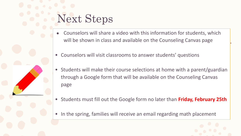### Next Steps

- Counselors will share a video with this information for students, which will be shown in class and available on the Counseling Canvas page
- Counselors will visit classrooms to answer students' questions
- Students will make their course selections at home with a parent/guardian through a Google form that will be available on the Counseling Canvas page
- Students must fill out the Google form no later than **Friday, February 25th**
- In the spring, families will receive an email regarding math placement